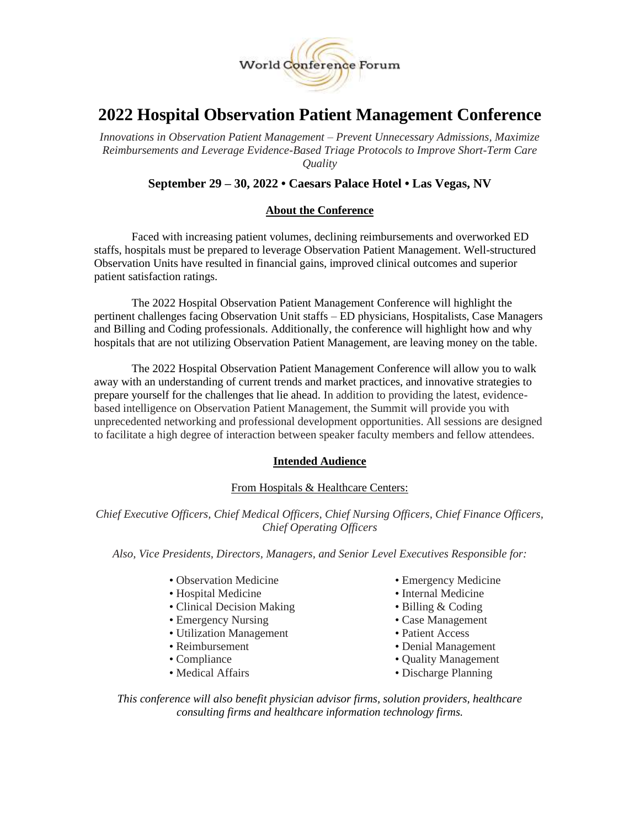

# **2022 Hospital Observation Patient Management Conference**

*Innovations in Observation Patient Management – Prevent Unnecessary Admissions, Maximize Reimbursements and Leverage Evidence-Based Triage Protocols to Improve Short-Term Care Quality*

# **September 29 – 30, 2022 • Caesars Palace Hotel • Las Vegas, NV**

## **About the Conference**

Faced with increasing patient volumes, declining reimbursements and overworked ED staffs, hospitals must be prepared to leverage Observation Patient Management. Well-structured Observation Units have resulted in financial gains, improved clinical outcomes and superior patient satisfaction ratings.

The 2022 Hospital Observation Patient Management Conference will highlight the pertinent challenges facing Observation Unit staffs – ED physicians, Hospitalists, Case Managers and Billing and Coding professionals. Additionally, the conference will highlight how and why hospitals that are not utilizing Observation Patient Management, are leaving money on the table.

The 2022 Hospital Observation Patient Management Conference will allow you to walk away with an understanding of current trends and market practices, and innovative strategies to prepare yourself for the challenges that lie ahead. In addition to providing the latest, evidencebased intelligence on Observation Patient Management, the Summit will provide you with unprecedented networking and professional development opportunities. All sessions are designed to facilitate a high degree of interaction between speaker faculty members and fellow attendees.

## **Intended Audience**

# From Hospitals & Healthcare Centers:

*Chief Executive Officers, Chief Medical Officers, Chief Nursing Officers, Chief Finance Officers, Chief Operating Officers*

*Also, Vice Presidents, Directors, Managers, and Senior Level Executives Responsible for:*

- Observation Medicine Emergency Medicine
- Hospital Medicine Internal Medicine
- Clinical Decision Making Billing & Coding
- Emergency Nursing Case Management
- Utilization Management Patient Access
- 
- 
- 
- 
- 
- 
- 
- 
- Reimbursement Denial Management
- Compliance Compliance Quality Management
- Medical Affairs Discharge Planning

*This conference will also benefit physician advisor firms, solution providers, healthcare consulting firms and healthcare information technology firms.*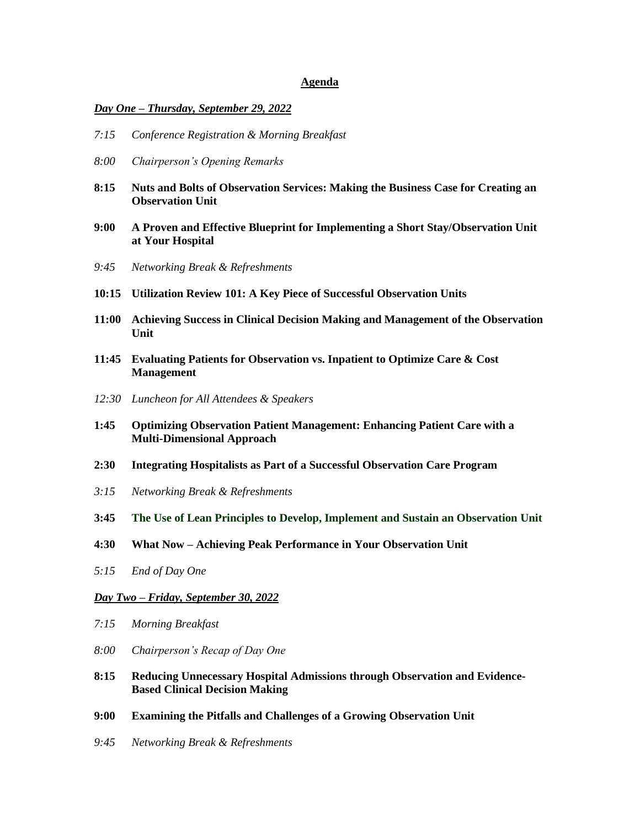#### **Agenda**

#### *Day One – Thursday, September 29, 2022*

- *7:15 Conference Registration & Morning Breakfast*
- *8:00 Chairperson's Opening Remarks*
- **8:15 Nuts and Bolts of Observation Services: Making the Business Case for Creating an Observation Unit**
- **9:00 A Proven and Effective Blueprint for Implementing a Short Stay/Observation Unit at Your Hospital**
- *9:45 Networking Break & Refreshments*
- **10:15 Utilization Review 101: A Key Piece of Successful Observation Units**
- **11:00 Achieving Success in Clinical Decision Making and Management of the Observation Unit**
- **11:45 Evaluating Patients for Observation vs. Inpatient to Optimize Care & Cost Management**
- *12:30 Luncheon for All Attendees & Speakers*
- **1:45 Optimizing Observation Patient Management: Enhancing Patient Care with a Multi-Dimensional Approach**
- **2:30 Integrating Hospitalists as Part of a Successful Observation Care Program**
- *3:15 Networking Break & Refreshments*
- **3:45 The Use of Lean Principles to Develop, Implement and Sustain an Observation Unit**
- **4:30 What Now – Achieving Peak Performance in Your Observation Unit**
- *5:15 End of Day One*

#### *Day Two – Friday, September 30, 2022*

- *7:15 Morning Breakfast*
- *8:00 Chairperson's Recap of Day One*
- **8:15 Reducing Unnecessary Hospital Admissions through Observation and Evidence-Based Clinical Decision Making**
- **9:00 Examining the Pitfalls and Challenges of a Growing Observation Unit**
- *9:45 Networking Break & Refreshments*